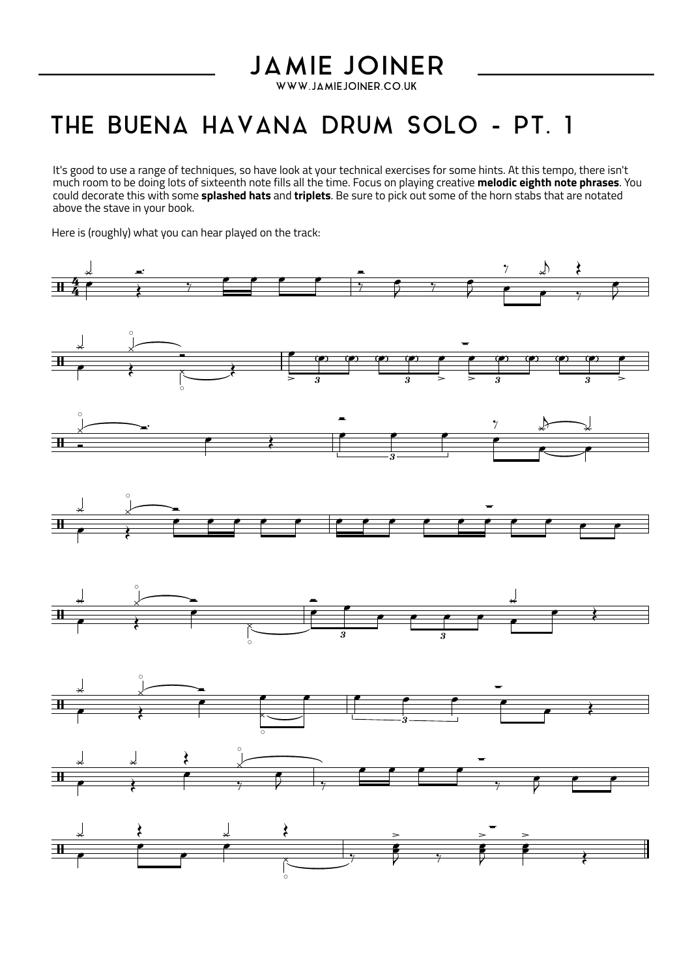## **JAMIE JOINER**

WWW.JAMIEJOINER.CO.UK

## THE BUENA HAVANA DRUM SOLO - PT. 1

It's good to use a range of techniques, so have look at your technical exercises for some hints. At this tempo, there isn't much room to bedoing lots of sixteenth note fills all the time. Focus on playing creative **melodic eighth note phrases**. You could decorate this with some **splashed hats** and **triplets**. Be sure to pick out some of the horn stabs that are notated above the stave in your book.

Here is (roughly) what you can hear played on the track: